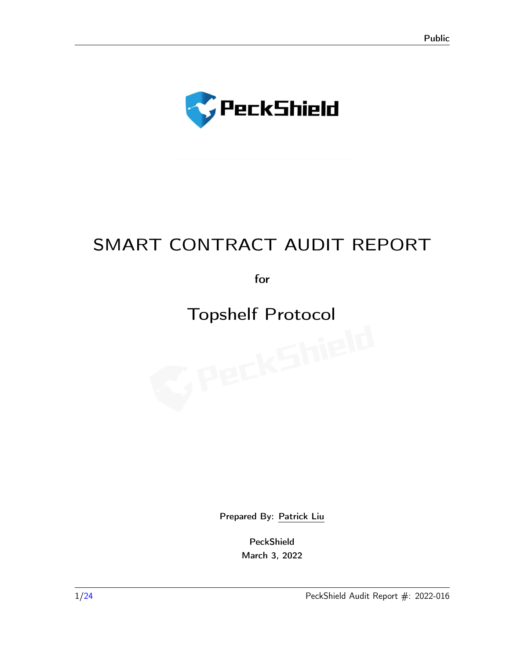

# SMART CONTRACT AUDIT REPORT

for

# Topshelf Protocol

Prepared By: [Patrick Liu](contact@peckshield.com)

PeckShield March 3, 2022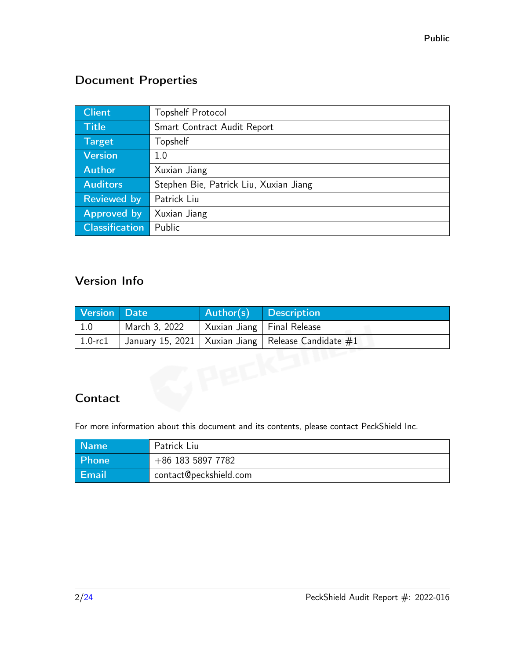## Document Properties

| <b>Client</b>         | <b>Topshelf Protocol</b>               |
|-----------------------|----------------------------------------|
| <b>Title</b>          | Smart Contract Audit Report            |
| <b>Target</b>         | Topshelf                               |
| <b>Version</b>        | 1.0                                    |
| <b>Author</b>         | Xuxian Jiang                           |
| <b>Auditors</b>       | Stephen Bie, Patrick Liu, Xuxian Jiang |
| <b>Reviewed by</b>    | Patrick Liu                            |
| <b>Approved by</b>    | Xuxian Jiang                           |
| <b>Classification</b> | Public                                 |

## Version Info

| <b>Version</b> | <b>Date</b>      | Author(s)    | <b>Description</b>     |
|----------------|------------------|--------------|------------------------|
| 1.0            | March 3, 2022    | Xuxian Jiang | Final Release          |
| $1.0$ - $r c1$ | January 15, 2021 | Xuxian Jiang | Release Candidate $#1$ |
|                |                  |              |                        |
|                |                  |              |                        |
|                |                  |              |                        |
| Contact        |                  |              |                        |

## **Contact**

For more information about this document and its contents, please contact PeckShield Inc.

| <b>Name</b> | Patrick Liu       |
|-------------|-------------------|
| Phone       | +86 183 5897 7782 |
| Email       |                   |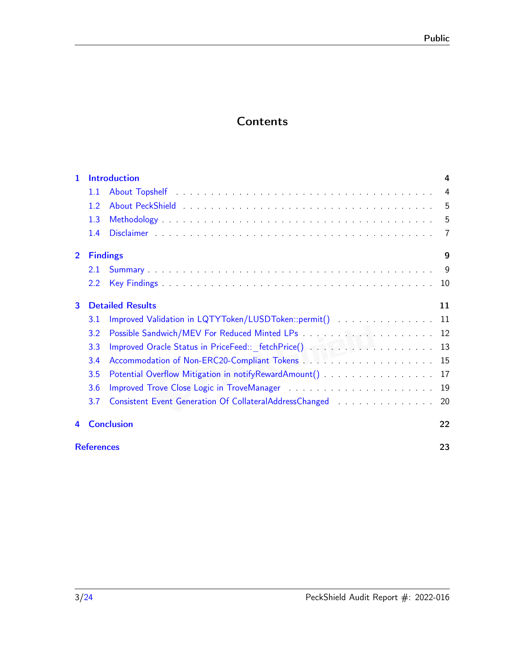# **Contents**

| 1              |                   | <b>Introduction</b>                                     | 4              |
|----------------|-------------------|---------------------------------------------------------|----------------|
|                | 1.1               |                                                         | $\overline{4}$ |
|                | 1.2               |                                                         | 5              |
|                | 1.3               |                                                         | 5              |
|                | 1.4               |                                                         | -7             |
| $\overline{2}$ | <b>Findings</b>   |                                                         | 9              |
|                | 2.1               |                                                         | - 9            |
|                | $2.2\phantom{0}$  |                                                         |                |
| 3              |                   | <b>Detailed Results</b>                                 | 11             |
|                | 3.1               |                                                         |                |
|                | 3.2               |                                                         |                |
|                | 3.3               | Improved Oracle Status in PriceFeed::_fetchPrice() 13   |                |
|                | 3.4               |                                                         |                |
|                | 3.5               | Potential Overflow Mitigation in notifyRewardAmount()   | 17             |
|                | 3.6               |                                                         | 19             |
|                | 3.7               | Consistent Event Generation Of CollateralAddressChanged | 20             |
| 4              |                   | <b>Conclusion</b>                                       | 22             |
|                | <b>References</b> |                                                         | 23             |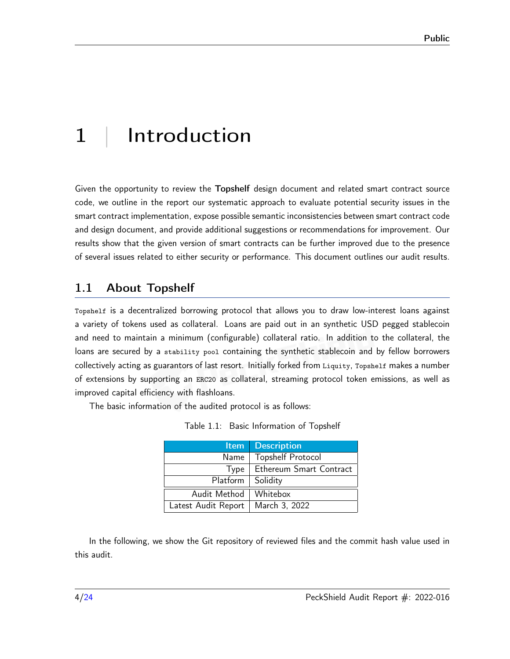# <span id="page-3-0"></span>1 | Introduction

Given the opportunity to review the Topshelf design document and related smart contract source code, we outline in the report our systematic approach to evaluate potential security issues in the smart contract implementation, expose possible semantic inconsistencies between smart contract code and design document, and provide additional suggestions or recommendations for improvement. Our results show that the given version of smart contracts can be further improved due to the presence of several issues related to either security or performance. This document outlines our audit results.

#### <span id="page-3-1"></span>1.1 About Topshelf

Topshelf is a decentralized borrowing protocol that allows you to draw low-interest loans against a variety of tokens used as collateral. Loans are paid out in an synthetic USD pegged stablecoin and need to maintain a minimum (configurable) collateral ratio. In addition to the collateral, the loans are secured by a stability pool containing the synthetic stablecoin and by fellow borrowers collectively acting as guarantors of last resort. Initially forked from Liquity, Topshelf makes a number of extensions by supporting an ERC20 as collateral, streaming protocol token emissions, as well as improved capital efficiency with flashloans.

The basic information of the audited protocol is as follows:

|  |  | Table 1.1: Basic Information of Topshelf |  |  |
|--|--|------------------------------------------|--|--|
|--|--|------------------------------------------|--|--|

| <b>Item</b>         | <b>Description</b>       |
|---------------------|--------------------------|
| Name                | <b>Topshelf Protocol</b> |
| Type                | Ethereum Smart Contract  |
| Platform            | Solidity                 |
| Audit Method        | Whitebox                 |
| Latest Audit Report | March 3, 2022            |

In the following, we show the Git repository of reviewed files and the commit hash value used in this audit.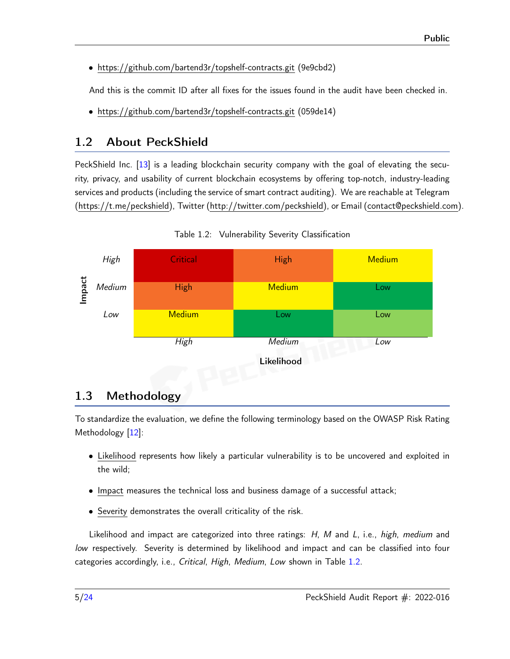• https://github.com/bartend3r/topshelf-contracts.git (9e9cbd2)

And this is the commit ID after all fixes for the issues found in the audit have been checked in.

• https://github.com/bartend3r/topshelf-contracts.git (059de14)

## <span id="page-4-0"></span>1.2 About PeckShield

PeckShield Inc. [\[13\]](#page-23-1) is a leading blockchain security company with the goal of elevating the security, privacy, and usability of current blockchain ecosystems by offering top-notch, industry-leading services and products (including the service of smart contract auditing). We are reachable at Telegram [\(https://t.me/peckshield\)](https://t.me/peckshield), Twitter [\(http://twitter.com/peckshield\)](http://twitter.com/peckshield), or Email [\(contact@peckshield.com\)](contact@peckshield.com).

<span id="page-4-2"></span>

Table 1.2: Vulnerability Severity Classification

## <span id="page-4-1"></span>1.3 Methodology

To standardize the evaluation, we define the following terminology based on the OWASP Risk Rating Methodology [\[12\]](#page-23-2):

- Likelihood represents how likely a particular vulnerability is to be uncovered and exploited in the wild;
- Impact measures the technical loss and business damage of a successful attack;
- Severity demonstrates the overall criticality of the risk.

Likelihood and impact are categorized into three ratings: H, M and L, i.e., high, medium and low respectively. Severity is determined by likelihood and impact and can be classified into four categories accordingly, i.e., Critical, High, Medium, Low shown in Table [1.2.](#page-4-2)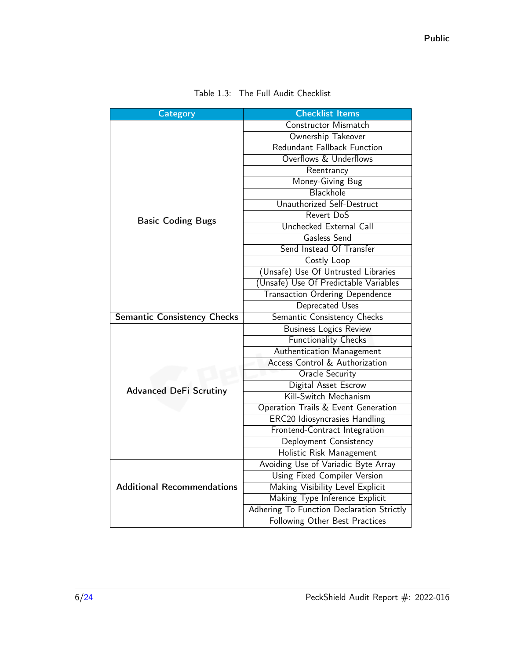<span id="page-5-0"></span>

| <b>Category</b>                    | <b>Checklist Items</b>                    |  |
|------------------------------------|-------------------------------------------|--|
|                                    | Constructor Mismatch                      |  |
|                                    | Ownership Takeover                        |  |
|                                    | <b>Redundant Fallback Function</b>        |  |
|                                    | Overflows & Underflows                    |  |
|                                    | Reentrancy                                |  |
|                                    | Money-Giving Bug                          |  |
|                                    | Blackhole                                 |  |
|                                    | Unauthorized Self-Destruct                |  |
| <b>Basic Coding Bugs</b>           | Revert DoS                                |  |
|                                    | Unchecked External Call                   |  |
|                                    | Gasless Send                              |  |
|                                    | Send Instead Of Transfer                  |  |
|                                    | Costly Loop                               |  |
|                                    | (Unsafe) Use Of Untrusted Libraries       |  |
|                                    | (Unsafe) Use Of Predictable Variables     |  |
|                                    | <b>Transaction Ordering Dependence</b>    |  |
|                                    | Deprecated Uses                           |  |
| <b>Semantic Consistency Checks</b> | Semantic Consistency Checks               |  |
|                                    | <b>Business Logics Review</b>             |  |
|                                    | <b>Functionality Checks</b>               |  |
|                                    | Authentication Management                 |  |
|                                    | Access Control & Authorization            |  |
|                                    | <b>Oracle Security</b>                    |  |
| <b>Advanced DeFi Scrutiny</b>      | Digital Asset Escrow                      |  |
|                                    | Kill-Switch Mechanism                     |  |
|                                    | Operation Trails & Event Generation       |  |
|                                    | <b>ERC20 Idiosyncrasies Handling</b>      |  |
|                                    | Frontend-Contract Integration             |  |
|                                    | Deployment Consistency                    |  |
|                                    | Holistic Risk Management                  |  |
|                                    | Avoiding Use of Variadic Byte Array       |  |
|                                    | Using Fixed Compiler Version              |  |
| <b>Additional Recommendations</b>  | Making Visibility Level Explicit          |  |
|                                    | Making Type Inference Explicit            |  |
|                                    | Adhering To Function Declaration Strictly |  |
|                                    | Following Other Best Practices            |  |

| Table 1.3: The Full Audit Checklist |  |  |  |  |
|-------------------------------------|--|--|--|--|
|-------------------------------------|--|--|--|--|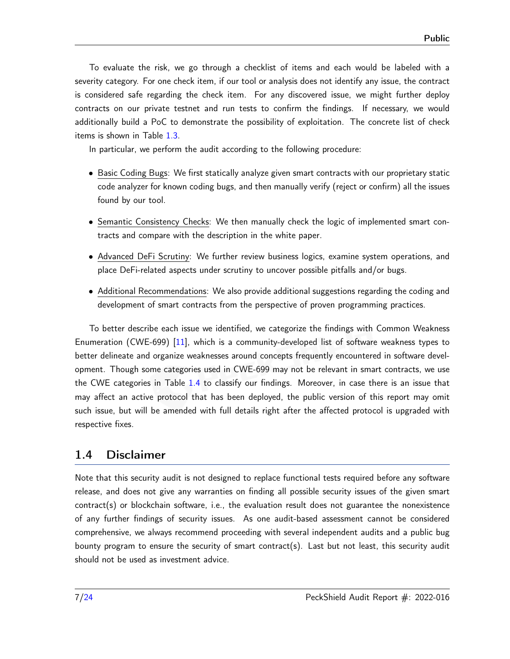To evaluate the risk, we go through a checklist of items and each would be labeled with a severity category. For one check item, if our tool or analysis does not identify any issue, the contract is considered safe regarding the check item. For any discovered issue, we might further deploy contracts on our private testnet and run tests to confirm the findings. If necessary, we would additionally build a PoC to demonstrate the possibility of exploitation. The concrete list of check items is shown in Table [1.3.](#page-5-0)

In particular, we perform the audit according to the following procedure:

- Basic Coding Bugs: We first statically analyze given smart contracts with our proprietary static code analyzer for known coding bugs, and then manually verify (reject or confirm) all the issues found by our tool.
- Semantic Consistency Checks: We then manually check the logic of implemented smart contracts and compare with the description in the white paper.
- Advanced DeFi Scrutiny: We further review business logics, examine system operations, and place DeFi-related aspects under scrutiny to uncover possible pitfalls and/or bugs.
- Additional Recommendations: We also provide additional suggestions regarding the coding and development of smart contracts from the perspective of proven programming practices.

To better describe each issue we identified, we categorize the findings with Common Weakness Enumeration (CWE-699) [\[11\]](#page-23-3), which is a community-developed list of software weakness types to better delineate and organize weaknesses around concepts frequently encountered in software development. Though some categories used in CWE-699 may not be relevant in smart contracts, we use the CWE categories in Table [1.4](#page-7-0) to classify our findings. Moreover, in case there is an issue that may affect an active protocol that has been deployed, the public version of this report may omit such issue, but will be amended with full details right after the affected protocol is upgraded with respective fixes.

#### <span id="page-6-0"></span>1.4 Disclaimer

Note that this security audit is not designed to replace functional tests required before any software release, and does not give any warranties on finding all possible security issues of the given smart contract(s) or blockchain software, i.e., the evaluation result does not guarantee the nonexistence of any further findings of security issues. As one audit-based assessment cannot be considered comprehensive, we always recommend proceeding with several independent audits and a public bug bounty program to ensure the security of smart contract(s). Last but not least, this security audit should not be used as investment advice.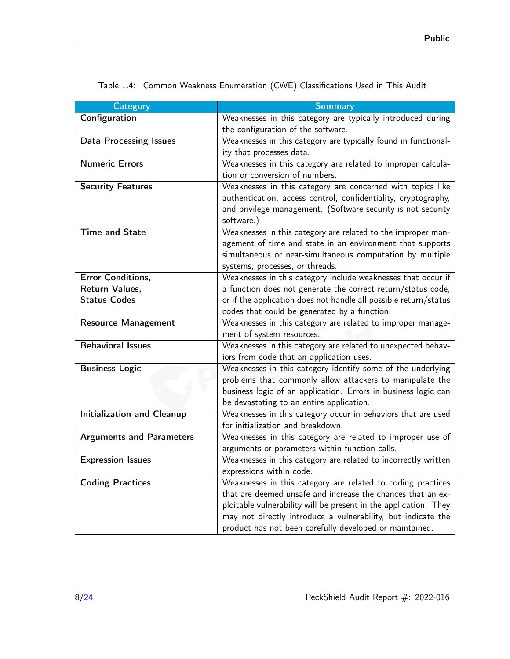<span id="page-7-0"></span>

| <b>Category</b>                   | <b>Summary</b>                                                             |
|-----------------------------------|----------------------------------------------------------------------------|
| Configuration                     | Weaknesses in this category are typically introduced during                |
|                                   | the configuration of the software.                                         |
| <b>Data Processing Issues</b>     | Weaknesses in this category are typically found in functional-             |
|                                   | ity that processes data.                                                   |
| <b>Numeric Errors</b>             | Weaknesses in this category are related to improper calcula-               |
|                                   | tion or conversion of numbers.                                             |
| <b>Security Features</b>          | Weaknesses in this category are concerned with topics like                 |
|                                   | authentication, access control, confidentiality, cryptography,             |
|                                   | and privilege management. (Software security is not security<br>software.) |
| <b>Time and State</b>             | Weaknesses in this category are related to the improper man-               |
|                                   | agement of time and state in an environment that supports                  |
|                                   | simultaneous or near-simultaneous computation by multiple                  |
|                                   | systems, processes, or threads.                                            |
| <b>Error Conditions,</b>          | Weaknesses in this category include weaknesses that occur if               |
| Return Values.                    | a function does not generate the correct return/status code,               |
| <b>Status Codes</b>               | or if the application does not handle all possible return/status           |
|                                   | codes that could be generated by a function.                               |
| <b>Resource Management</b>        | Weaknesses in this category are related to improper manage-                |
|                                   | ment of system resources.                                                  |
| <b>Behavioral Issues</b>          | Weaknesses in this category are related to unexpected behav-               |
|                                   | iors from code that an application uses.                                   |
| <b>Business Logic</b>             | Weaknesses in this category identify some of the underlying                |
|                                   | problems that commonly allow attackers to manipulate the                   |
|                                   | business logic of an application. Errors in business logic can             |
|                                   | be devastating to an entire application.                                   |
| <b>Initialization and Cleanup</b> | Weaknesses in this category occur in behaviors that are used               |
|                                   | for initialization and breakdown.                                          |
| <b>Arguments and Parameters</b>   | Weaknesses in this category are related to improper use of                 |
|                                   | arguments or parameters within function calls.                             |
| <b>Expression Issues</b>          | Weaknesses in this category are related to incorrectly written             |
|                                   | expressions within code.                                                   |
| <b>Coding Practices</b>           | Weaknesses in this category are related to coding practices                |
|                                   | that are deemed unsafe and increase the chances that an ex-                |
|                                   | ploitable vulnerability will be present in the application. They           |
|                                   | may not directly introduce a vulnerability, but indicate the               |
|                                   | product has not been carefully developed or maintained.                    |

Table 1.4: Common Weakness Enumeration (CWE) Classifications Used in This Audit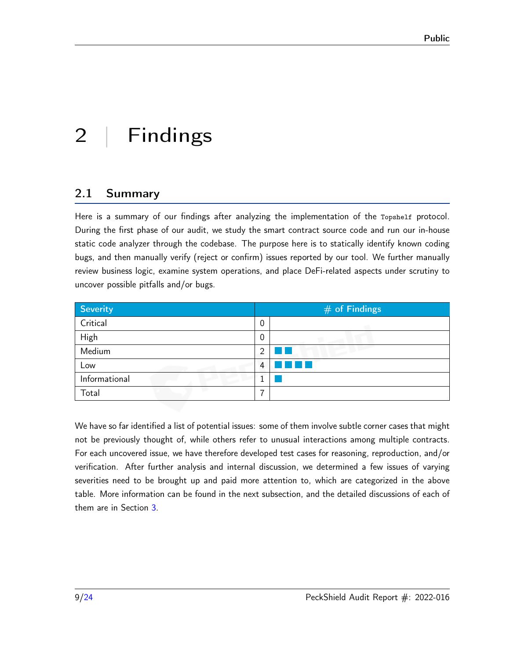# <span id="page-8-0"></span>2 | Findings

## <span id="page-8-1"></span>2.1 Summary

Here is a summary of our findings after analyzing the implementation of the Topshelf protocol. During the first phase of our audit, we study the smart contract source code and run our in-house static code analyzer through the codebase. The purpose here is to statically identify known coding bugs, and then manually verify (reject or confirm) issues reported by our tool. We further manually review business logic, examine system operations, and place DeFi-related aspects under scrutiny to uncover possible pitfalls and/or bugs.

| <b>Severity</b> | $#$ of Findings |
|-----------------|-----------------|
| Critical        | 0               |
| High            | 0               |
| Medium          | റ               |
| Low             | 4               |
| Informational   |                 |
| Total           | ⇁               |

We have so far identified a list of potential issues: some of them involve subtle corner cases that might not be previously thought of, while others refer to unusual interactions among multiple contracts. For each uncovered issue, we have therefore developed test cases for reasoning, reproduction, and/or verification. After further analysis and internal discussion, we determined a few issues of varying severities need to be brought up and paid more attention to, which are categorized in the above table. More information can be found in the next subsection, and the detailed discussions of each of them are in Section [3.](#page-10-0)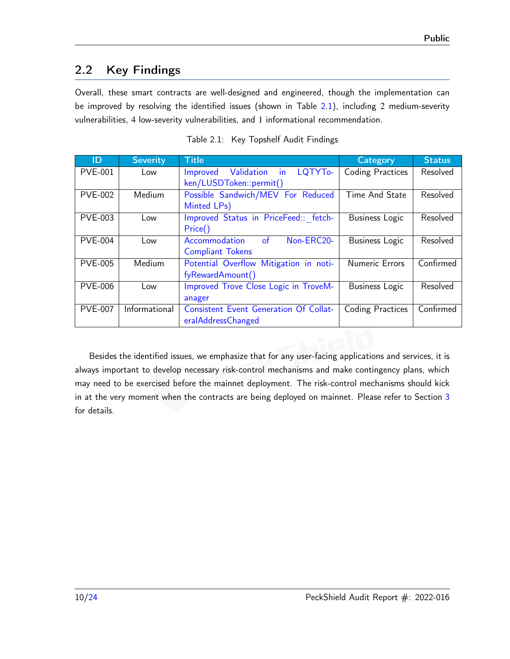## <span id="page-9-0"></span>2.2 Key Findings

Overall, these smart contracts are well-designed and engineered, though the implementation can be improved by resolving the identified issues (shown in Table [2.1\)](#page-9-1), including 2 medium-severity vulnerabilities, 4 low-severity vulnerabilities, and 1 informational recommendation.

<span id="page-9-1"></span>

| ID             | <b>Severity</b> | <b>Title</b>                                  | Category                | <b>Status</b> |
|----------------|-----------------|-----------------------------------------------|-------------------------|---------------|
| <b>PVE-001</b> | Low             | Improved Validation<br>in<br>LQTYTo-          | <b>Coding Practices</b> | Resolved      |
|                |                 | ken/LUSDToken::permit()                       |                         |               |
| <b>PVE-002</b> | Medium          | Possible Sandwich/MEV For Reduced             | Time And State          | Resolved      |
|                |                 | Minted LPs)                                   |                         |               |
| <b>PVE-003</b> | Low             | Improved Status in PriceFeed:: fetch-         | Business Logic          | Resolved      |
|                |                 | Price()                                       |                         |               |
| <b>PVE-004</b> | Low             | $\circ$ f<br>Non-ERC20-<br>Accommodation      | <b>Business Logic</b>   | Resolved      |
|                |                 | <b>Compliant Tokens</b>                       |                         |               |
| <b>PVE-005</b> | Medium          | Potential Overflow Mitigation in noti-        | <b>Numeric Errors</b>   | Confirmed     |
|                |                 | fyRewardAmount()                              |                         |               |
| <b>PVE-006</b> | Low             | Improved Trove Close Logic in TroveM-         | <b>Business Logic</b>   | Resolved      |
|                |                 | anager                                        |                         |               |
| <b>PVE-007</b> | Informational   | <b>Consistent Event Generation Of Collat-</b> | <b>Coding Practices</b> | Confirmed     |
|                |                 | eralAddressChanged                            |                         |               |

Table 2.1: Key Topshelf Audit Findings

Besides the identified issues, we emphasize that for any user-facing applications and services, it is always important to develop necessary risk-control mechanisms and make contingency plans, which may need to be exercised before the mainnet deployment. The risk-control mechanisms should kick in at the very moment when the contracts are being deployed on mainnet. Please refer to Section [3](#page-10-0) for details.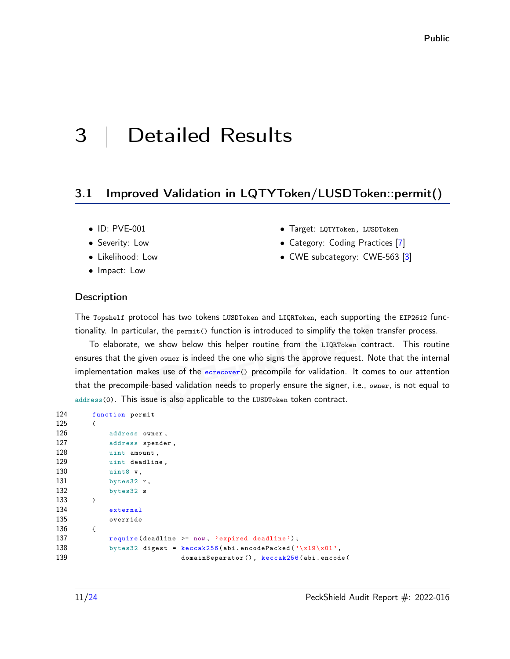# <span id="page-10-0"></span>3 | Detailed Results

#### <span id="page-10-1"></span>3.1 Improved Validation in LQTYToken/LUSDToken::permit()

- ID: PVE-001
- Severity: Low
- Likelihood: Low
- Impact: Low
- Target: LQTYToken, LUSDToken
- Category: Coding Practices [\[7\]](#page-22-1)
- CWE subcategory: CWE-563 [\[3\]](#page-22-2)

#### **Description**

The Topshelf protocol has two tokens LUSDToken and LIQRToken, each supporting the EIP2612 functionality. In particular, the permit() function is introduced to simplify the token transfer process.

To elaborate, we show below this helper routine from the LIQRToken contract. This routine ensures that the given owner is indeed the one who signs the approve request. Note that the internal implementation makes use of the ecrecover() precompile for validation. It comes to our attention that the precompile-based validation needs to properly ensure the signer, i.e., owner, is not equal to address(0). This issue is also applicable to the LUSDToken token contract.

```
124 function permit
125 (
126 address owner ,
127 address spender ,
128 uint amount,
129 uint deadline ,
130 uint8 v,
131 bytes32 r,
132 bytes32 s
133 )
134 external
135 override
136 {
137 require (deadline >= now, 'expired deadline');
138 bytes32 digest = keccak256(abi.encodePacked(\sqrt{x19}\times01),
139 domainSeparator () , keccak256 (abi . encode (
```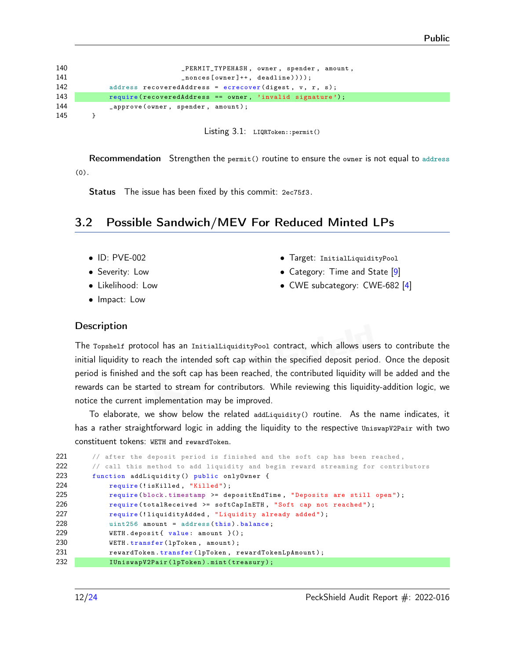

Listing 3.1: LIQRToken::permit()

Recommendation Strengthen the permit() routine to ensure the owner is not equal to address (0).

Status The issue has been fixed by this commit: [2ec75f3.](https://github.com/bartend3r/topshelf-contracts/commit/2ec75f3)

#### <span id="page-11-0"></span>3.2 Possible Sandwich/MEV For Reduced Minted LPs

- ID: PVE-002
- Severity: Low
- Likelihood: Low
- Impact: Low
- Target: InitialLiquidityPool
- Category: Time and State [\[9\]](#page-22-3)
- CWE subcategory: CWE-682 [\[4\]](#page-22-4)

#### **Description**

The Topshelf protocol has an InitialLiquidityPool contract, which allows users to contribute the initial liquidity to reach the intended soft cap within the specified deposit period. Once the deposit period is finished and the soft cap has been reached, the contributed liquidity will be added and the rewards can be started to stream for contributors. While reviewing this liquidity-addition logic, we notice the current implementation may be improved.

To elaborate, we show below the related addLiquidity() routine. As the name indicates, it has a rather straightforward logic in adding the liquidity to the respective UniswapV2Pair with two constituent tokens: WETH and rewardToken.

```
221 // after the deposit period is finished and the soft cap has been reached,
222 // call this method to add liquidity and begin reward streaming for contributors
223 function addLiquidity () public onlyOwner {
224 require (!isKilled, "Killed");
225 require (block . timestamp > = depositEndTime, "Deposits are still open");
226 require (totalReceived >= softCapInETH, "Soft cap not reached");
227 require (!liquidityAdded, "Liquidity already added");
228 uint256 amount = address (this). balance;
229 WETH.deposit { value: amount } ();
230 WETH.transfer (1pToken, amount);
231 rewardToken.transfer (1pToken, rewardTokenLpAmount);
232 IUniswapV2Pair (1pToken).mint (treasury);
```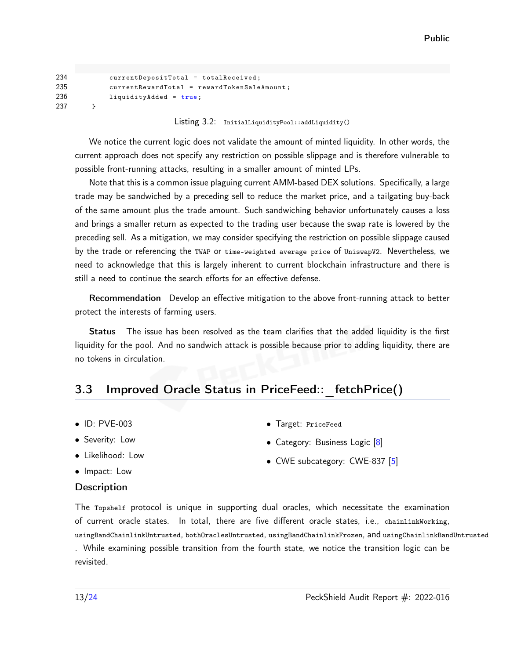| 234 | $currentDepositTotal = totalReceived;$        |
|-----|-----------------------------------------------|
| 235 | $currentRewardTotal = rewardTokenSaleAmount;$ |
| 236 | $liquidityAdded = true;$                      |
| 237 |                                               |

Listing 3.2: InitialLiquidityPool::addLiquidity()

We notice the current logic does not validate the amount of minted liquidity. In other words, the current approach does not specify any restriction on possible slippage and is therefore vulnerable to possible front-running attacks, resulting in a smaller amount of minted LPs.

Note that this is a common issue plaguing current AMM-based DEX solutions. Specifically, a large trade may be sandwiched by a preceding sell to reduce the market price, and a tailgating buy-back of the same amount plus the trade amount. Such sandwiching behavior unfortunately causes a loss and brings a smaller return as expected to the trading user because the swap rate is lowered by the preceding sell. As a mitigation, we may consider specifying the restriction on possible slippage caused by the trade or referencing the TWAP or time-weighted average price of UniswapV2. Nevertheless, we need to acknowledge that this is largely inherent to current blockchain infrastructure and there is still a need to continue the search efforts for an effective defense.

Recommendation Develop an effective mitigation to the above front-running attack to better protect the interests of farming users.

Status The issue has been resolved as the team clarifies that the added liquidity is the first liquidity for the pool. And no sandwich attack is possible because prior to adding liquidity, there are no tokens in circulation.

## <span id="page-12-0"></span>3.3 Improved Oracle Status in PriceFeed:: fetchPrice()

- ID: PVE-003
- Severity: Low
- Likelihood: Low

• Category: Business Logic [\[8\]](#page-22-5)

• Target: PriceFeed

- 
- 

• Impact: Low

#### **Description**

The Topshelf protocol is unique in supporting dual oracles, which necessitate the examination of current oracle states. In total, there are five different oracle states, i.e., chainlinkWorking,

usingBandChainlinkUntrusted, bothOraclesUntrusted, usingBandChainlinkFrozen, and usingChainlinkBandUntrusted . While examining possible transition from the fourth state, we notice the transition logic can be

revisited.

• CWE subcategory: CWE-837 [\[5\]](#page-22-6)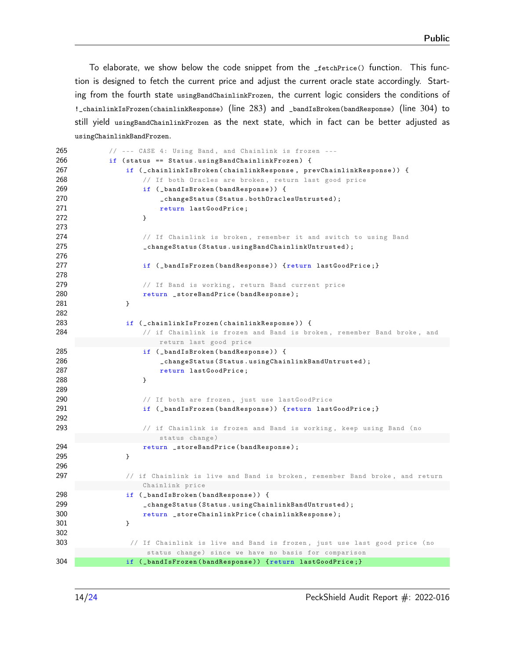To elaborate, we show below the code snippet from the \_fetchPrice() function. This function is designed to fetch the current price and adjust the current oracle state accordingly. Starting from the fourth state usingBandChainlinkFrozen, the current logic considers the conditions of !\_chainlinkIsFrozen(chainlinkResponse) (line 283) and \_bandIsBroken(bandResponse) (line 304) to still yield usingBandChainlinkFrozen as the next state, which in fact can be better adjusted as usingChainlinkBandFrozen.

| 265 | // --- CASE 4: Using Band, and Chainlink is frozen ---                      |
|-----|-----------------------------------------------------------------------------|
| 266 | if (status == Status.usingBandChainlinkFrozen) {                            |
| 267 | if (_chainlinkIsBroken(chainlinkResponse, prevChainlinkResponse)) {         |
| 268 | // If both Oracles are broken, return last good price                       |
| 269 | if (_bandIsBroken(bandResponse)) {                                          |
| 270 | _changeStatus(Status.bothOraclesUntrusted);                                 |
| 271 | return lastGoodPrice;                                                       |
| 272 | }                                                                           |
| 273 |                                                                             |
| 274 | // If Chainlink is broken, remember it and switch to using Band             |
| 275 | _changeStatus(Status.usingBandChainlinkUntrusted);                          |
| 276 |                                                                             |
| 277 | if (_bandIsFrozen(bandResponse)) {return lastGoodPrice;}                    |
| 278 |                                                                             |
| 279 | // If Band is working, return Band current price                            |
| 280 | return _storeBandPrice(bandResponse);                                       |
| 281 | }                                                                           |
| 282 |                                                                             |
| 283 | if (_chainlinkIsFrozen(chainlinkResponse)) {                                |
| 284 | // if Chainlink is frozen and Band is broken, remember Band broke, and      |
|     | return last good price                                                      |
| 285 | if (_bandIsBroken(bandResponse)) {                                          |
| 286 | _changeStatus(Status.usingChainlinkBandUntrusted);                          |
| 287 | return lastGoodPrice;                                                       |
| 288 | }                                                                           |
| 289 |                                                                             |
| 290 | // If both are frozen, just use lastGoodPrice                               |
| 291 | if (_bandIsFrozen(bandResponse)) {return lastGoodPrice;}                    |
| 292 |                                                                             |
| 293 | // if Chainlink is frozen and Band is working, keep using Band (no          |
|     | status change)                                                              |
| 294 | return _storeBandPrice(bandResponse);                                       |
| 295 | }                                                                           |
| 296 |                                                                             |
| 297 | // if Chainlink is live and Band is broken, remember Band broke, and return |
|     | Chainlink price                                                             |
| 298 | if (_bandIsBroken(bandResponse)) {                                          |
| 299 | _changeStatus(Status.usingChainlinkBandUntrusted);                          |
| 300 | return _storeChainlinkPrice(chainlinkResponse);                             |
| 301 | }                                                                           |
| 302 |                                                                             |
| 303 | // If Chainlink is live and Band is frozen, just use last good price (no    |
|     | status change) since we have no basis for comparison                        |
| 304 | if (_bandIsFrozen(bandResponse)) {return lastGoodPrice;}                    |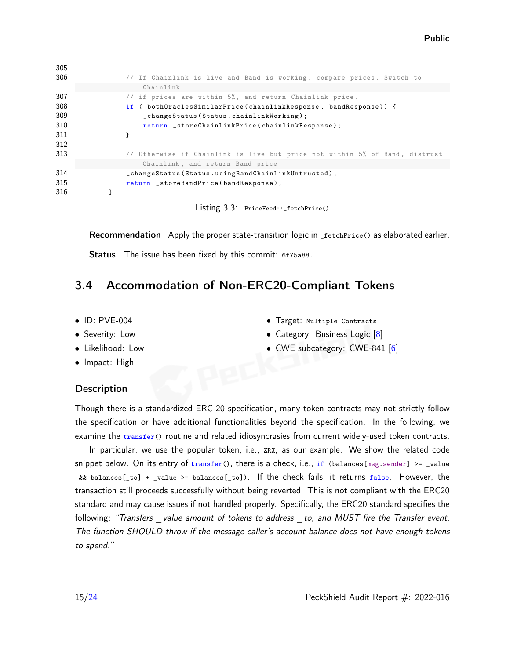| 305 |                                                                             |
|-----|-----------------------------------------------------------------------------|
| 306 | // If Chainlink is live and Band is working, compare prices. Switch to      |
|     | Chainlink                                                                   |
| 307 | // if prices are within $5\%$ , and return Chainlink price.                 |
| 308 | if (_both0raclesSimilarPrice(chainlinkResponse, bandResponse)) {            |
| 309 | _changeStatus(Status.chainlinkWorking);                                     |
| 310 | return _storeChainlinkPrice(chainlinkResponse);                             |
| 311 |                                                                             |
| 312 |                                                                             |
| 313 | // Otherwise if Chainlink is live but price not within 5% of Band, distrust |
|     | Chainlink, and return Band price                                            |
| 314 | _changeStatus(Status.usingBandChainlinkUntrusted);                          |
| 315 | return _storeBandPrice(bandResponse);                                       |
| 316 |                                                                             |
|     |                                                                             |

Listing 3.3: PriceFeed::\_fetchPrice()

Recommendation Apply the proper state-transition logic in \_fetchPrice() as elaborated earlier.

Status The issue has been fixed by this commit: [6f75a88.](https://github.com/bartend3r/topshelf-contracts/commit/6f75a88)

#### <span id="page-14-0"></span>3.4 Accommodation of Non-ERC20-Compliant Tokens

- ID: PVE-004
- Severity: Low
- Likelihood: Low
- Impact: High

#### **Description**

Though there is a standardized ERC-20 specification, many token contracts may not strictly follow the specification or have additional functionalities beyond the specification. In the following, we examine the transfer() routine and related idiosyncrasies from current widely-used token contracts.

In particular, we use the popular token, i.e., ZRX, as our example. We show the related code snippet below. On its entry of  $transfer()$ , there is a check, i.e., if (balances[msg.sender] >= \_value && balances[\_to] + \_value >= balances[\_to]). If the check fails, it returns false. However, the transaction still proceeds successfully without being reverted. This is not compliant with the ERC20 standard and may cause issues if not handled properly. Specifically, the ERC20 standard specifies the following: "Transfers value amount of tokens to address to, and MUST fire the Transfer event. [The function SHOULD throw if the message caller's account balance does not have enough tokens](https://eips.ethereum.org/EIPS/eip-20) [to spend."](https://eips.ethereum.org/EIPS/eip-20)

- Target: Multiple Contracts • Category: Business Logic [\[8\]](#page-22-5)
- CWE subcategory: CWE-841 [\[6\]](#page-22-7)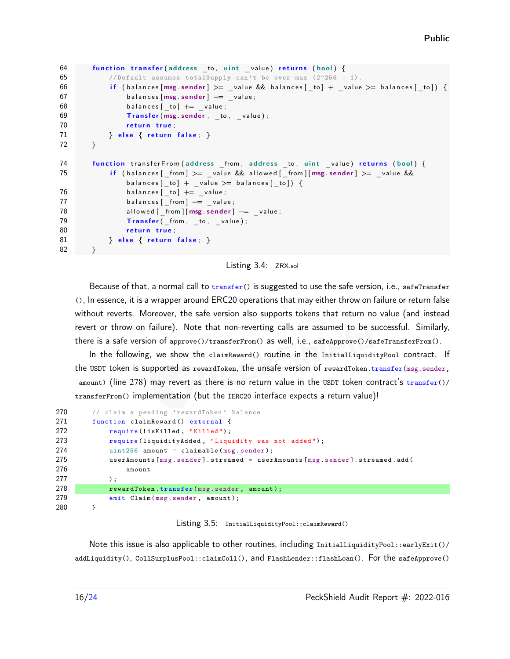```
64 function transfer (address to, uint value) returns (bool) {
65 // Default assumes total Supply can't be over max (2^256 - 1).
66 if (balances [msg sender] >= value && balances [ to ] + value >= balances [ to ] }
67 balances [msg. sender ] −= _value;
68 balances [ \text{to} ] \text{+=} value;
69 Transfer (msg. sender, to, value);
70 return true;
71 } else { return false; }
72 }
74 function transferFrom(address _from, address _to, uint _value) returns (bool) {
75 if (balances [ from ] >= value && allowed [ from ] [ msg . sender ] >= value &&
              balances [ to ] + value >= balances [ to ] ) \{76 balances [\underline{\hspace{1cm}} to ] \pm \underline{\hspace{1cm}} value;
77 balances [ _from ] −= _value ;
78 allowed [ _from ] [ msg . sender ] -= value ;
79 Transfer (from, to, value);
80 return true;
81 } else { return false; }
82 }
```
Listing 3.4: ZRX.sol

Because of that, a normal call to transfer() is suggested to use the safe version, i.e., safeTransfer (), In essence, it is a wrapper around ERC20 operations that may either throw on failure or return false without reverts. Moreover, the safe version also supports tokens that return no value (and instead revert or throw on failure). Note that non-reverting calls are assumed to be successful. Similarly, there is a safe version of approve()/transferFrom() as well, i.e., safeApprove()/safeTransferFrom().

In the following, we show the claimReward() routine in the InitialLiquidityPool contract. If the USDT token is supported as rewardToken, the unsafe version of rewardToken.transfer(msg.sender, amount) (line 278) may revert as there is no return value in the USDT token contract's  $transfer()$ transferFrom() implementation (but the IERC20 interface expects a return value)!

| 270 | // claim a pending 'rewardToken' balance                                    |
|-----|-----------------------------------------------------------------------------|
| 271 | function claim Reward () external {                                         |
| 272 | require(!isKilled, "Killed");                                               |
| 273 | require (liquidityAdded, "Liquidity was not added");                        |
| 274 | $uint256$ amount = claimable(msg.sender);                                   |
| 275 | userAmounts [msg.sender].streamed = userAmounts [msg.sender].streamed.add ( |
| 276 | amount                                                                      |
| 277 | $)$ :                                                                       |
| 278 | rewardToken.transfer(msg.sender, amount);                                   |
| 279 | emit Claim (msg. sender, amount);                                           |
| 280 |                                                                             |

Listing 3.5: InitialLiquidityPool::claimReward()

Note this issue is also applicable to other routines, including InitialLiquidityPool::earlyExit()/ addLiquidity(), CollSurplusPool::claimColl(), and FlashLender::flashLoan(). For the safeApprove()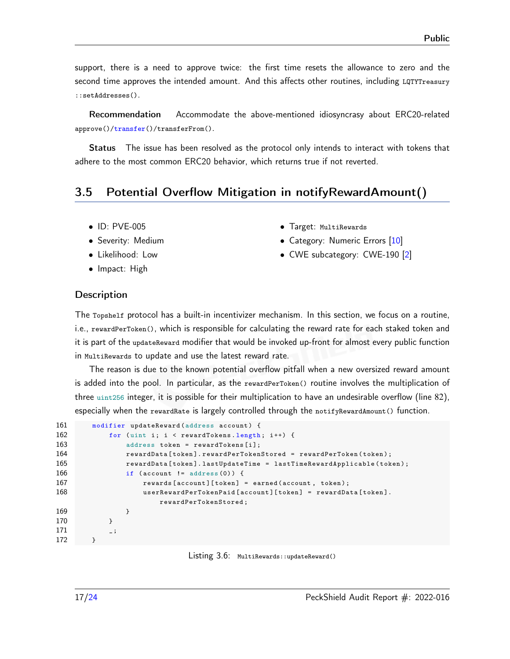support, there is a need to approve twice: the first time resets the allowance to zero and the second time approves the intended amount. And this affects other routines, including LQTYTreasury ::setAddresses().

Recommendation Accommodate the above-mentioned idiosyncrasy about ERC20-related approve()/transfer()/transferFrom().

Status The issue has been resolved as the protocol only intends to interact with tokens that adhere to the most common ERC20 behavior, which returns true if not reverted.

#### <span id="page-16-0"></span>3.5 Potential Overflow Mitigation in notifyRewardAmount()

- ID: PVE-005
- Severity: Medium
- Likelihood: Low
- Impact: High
- Target: MultiRewards
- Category: Numeric Errors [\[10\]](#page-23-4)
- CWE subcategory: CWE-190 [\[2\]](#page-22-8)

#### **Description**

The Topshelf protocol has a built-in incentivizer mechanism. In this section, we focus on a routine, i.e., rewardPerToken(), which is responsible for calculating the reward rate for each staked token and it is part of the updateReward modifier that would be invoked up-front for almost every public function in MultiRewards to update and use the latest reward rate.

The reason is due to the known potential overflow pitfall when a new oversized reward amount is added into the pool. In particular, as the rewardPerToken() routine involves the multiplication of three uint256 integer, it is possible for their multiplication to have an undesirable overflow (line 82), especially when the rewardRate is largely controlled through the notifyRewardAmount() function.

| modifier updateReward(address account) {                            |
|---------------------------------------------------------------------|
| for (uint i; $i \leq r$ ewardTokens. length; $i^{++}$ ) {           |
| $address$ token = rewardTokens $[i]$ ;                              |
| rewardData[token].rewardPerTokenStored = rewardPerToken(token);     |
| rewardData[token].lastUpdateTime = lastTimeRewardApplicable(token); |
| if $(\text{account } != \text{ address}(0))$ {                      |
| rewards $[account][token] = earned(account, token);$                |
| $userRewardPerTokenPaid[account][token] = rewardData[token].$       |
| rewardPerTokenStored;                                               |
| ł                                                                   |
|                                                                     |
| $\overline{\phantom{0}}$                                            |
|                                                                     |
|                                                                     |

Listing 3.6: MultiRewards::updateReward()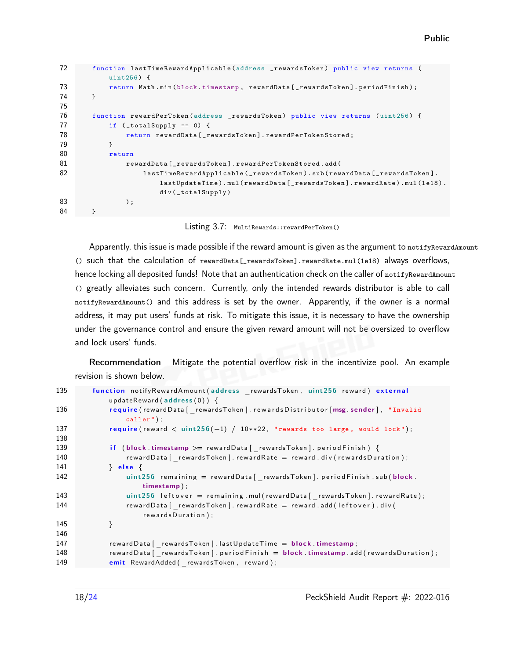```
72 function lastTimeRewardApplicable ( address _rewardsToken ) public view returns (
          uint256) {
73 return Math.min (block.timestamp, rewardData [_rewardsToken].periodFinish);
74 }
75
76 function rewardPerToken ( address _rewardsToken ) public view returns ( uint256 ) {
77 if (_totalSupply == 0) {
78 return rewardData [_rewardsToken].rewardPerTokenStored;
79 }
80 return
81 RewardData [ _rewardsToken ]. rewardPerTokenStored . add (
82 lastTimeRewardApplicable (_rewardsToken).sub (rewardData [_rewardsToken].
                     lastUpdateTime ) .mul ( rewardData [ _rewardsToken ]. rewardRate ). mul (1 e18) .
                     div ( _totalSupply )
83 );
84 }
```
Listing 3.7: MultiRewards::rewardPerToken()

Apparently, this issue is made possible if the reward amount is given as the argument to notifyRewardAmount () such that the calculation of rewardData[\_rewardsToken].rewardRate.mul(1e18) always overflows, hence locking all deposited funds! Note that an authentication check on the caller of notifyRewardAmount () greatly alleviates such concern. Currently, only the intended rewards distributor is able to call notifyRewardAmount() and this address is set by the owner. Apparently, if the owner is a normal address, it may put users' funds at risk. To mitigate this issue, it is necessary to have the ownership under the governance control and ensure the given reward amount will not be oversized to overflow and lock users' funds.

Recommendation Mitigate the potential overflow risk in the incentivize pool. An example revision is shown below.

```
135 function notifyRewardAmount (address rewardsToken, uint 256 reward) external
            updateReward ( address(0)) \{136 require (reward Data [ rewardsToken ]. rewards Distributor [msg. sender], "Invalid
                caller");
137 require (reward < uint256(-1) / 10**22, "rewards too large, would lock");
138
139 if (block timestamp >= rewardData [ rewardsToken ] . period Finish ) {
140 rewardData [ _ rewardsToken ] . rewardRate = reward . div ( rewardsDuration ) ;
141 } else {
142 uint 256 remaining = reward Data [ rewards Token ]. period Finish . sub ( block .
                    timestamp ) ;
143 uint 256 left over = remaining .mul (reward Data [ rewards Token ] . reward Rate ) ;
144 reward Data [ rewardsToken ] . reward Rate = reward . add ( left over ) . div (
                    rewardsDuration);
145 }
146
147 rewardData [ rewardsToken ] . last Update Time = block timestamp;
148 reward Data [ rewards Token ] . p eriod Finish = block . timestamp . add ( rew ards Duration ) ;
149 emit RewardAdded ( rewardsToken, reward );
```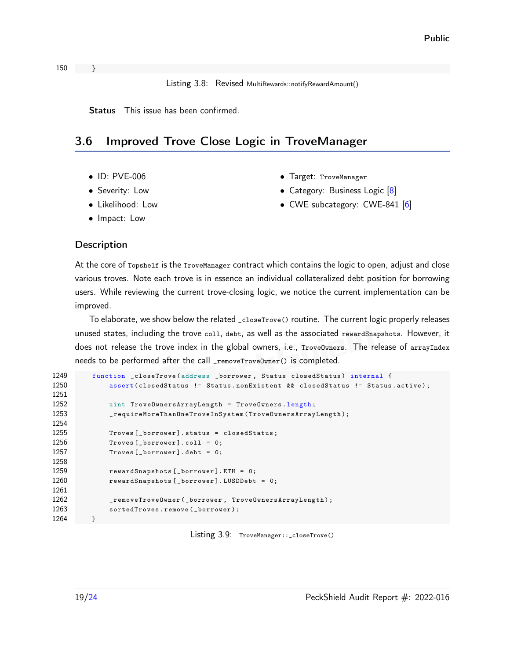Listing 3.8: Revised MultiRewards::notifyRewardAmount()

Status This issue has been confirmed.

#### <span id="page-18-0"></span>3.6 Improved Trove Close Logic in TroveManager

- ID: PVE-006
- Severity: Low
- Likelihood: Low
- Impact: Low
- Target: TroveManager
- Category: Business Logic [\[8\]](#page-22-5)
- CWE subcategory: CWE-841 [\[6\]](#page-22-7)

#### **Description**

At the core of Topshelf is the TroveManager contract which contains the logic to open, adjust and close various troves. Note each trove is in essence an individual collateralized debt position for borrowing users. While reviewing the current trove-closing logic, we notice the current implementation can be improved.

To elaborate, we show below the related \_closeTrove() routine. The current logic properly releases unused states, including the trove coll, debt, as well as the associated rewardSnapshots. However, it does not release the trove index in the global owners, i.e., TroveOwners. The release of arrayIndex needs to be performed after the call \_removeTroveOwner() is completed.

```
1249 function _closeTrove(address _borrower, Status closedStatus) internal {
1250 assert (closedStatus != Status.nonExistent && closedStatus != Status.active);
1251
1252 uint TroveOwnersArrayLength = TroveOwners . length ;
1253 _requireMoreThanOneTroveInSystem ( TroveOwnersArrayLength );
1254
1255 Troves [_borrower]. status = closedStatus;
1256 Troves [_borrower].coll = 0;
1257 Troves [_borrower].debt = 0;
1258
1259 rewardSnapshots [ _borrower ]. ETH = 0;
1260 rewardSnapshots [_borrower]. LUSDDebt = 0;
1261
1262 _removeTroveOwner ( _borrower , TroveOwnersArrayLength );
1263 sortedTroves.remove(_borrower);
1264 }
```
Listing 3.9: TroveManager::\_closeTrove()

150 }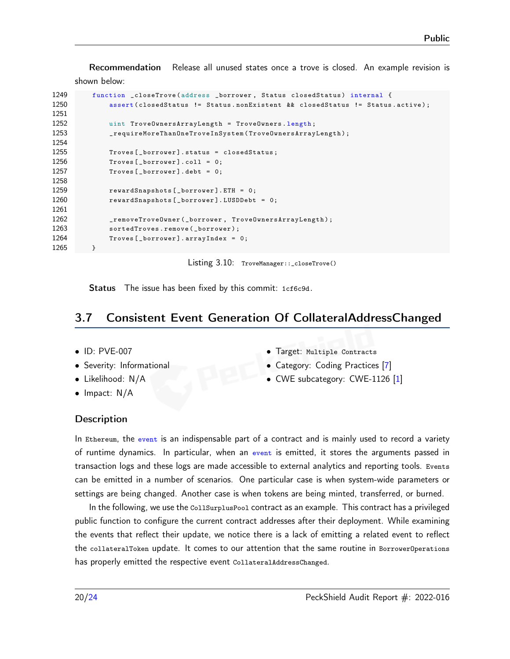Recommendation Release all unused states once a trove is closed. An example revision is shown below:

```
1249 function _closeTrove ( address _borrower , Status closedStatus ) internal {
1250 assert (closedStatus != Status.nonExistent && closedStatus != Status.active);
1251
1252 uint TroveOwnersArrayLength = TroveOwners . length ;
1253 _requireMoreThanOneTroveInSystem ( TroveOwnersArrayLength );
1254
1255 Troves [_borrower]. status = closedStatus;
1256 Troves [lower].coll = 0;1257 Troves [_borrower].debt = 0;
1258
1259 rewardSnapshots [_borrower]. ETH = 0;
1260 rewardSnapshots [_borrower]. LUSDDebt = 0;
1261
1262 _removeTroveOwner ( _borrower , TroveOwnersArrayLength );
1263 sortedTroves.remove(_borrower);
1264 Troves [_borrower]. arrayIndex = 0;
1265 }
```
Listing 3.10: TroveManager::\_closeTrove()

Status The issue has been fixed by this commit: [1cf6c9d.](https://github.com/bartend3r/topshelf-contracts/commit/1cf6c9d)

#### <span id="page-19-0"></span>3.7 Consistent Event Generation Of CollateralAddressChanged

- ID: PVE-007
- Severity: Informational
- Likelihood: N/A
- Impact: N/A
- Target: Multiple Contracts
- Category: Coding Practices [\[7\]](#page-22-1)
- CWE subcategory: CWE-1126 [\[1\]](#page-22-9)

#### **Description**

In Ethereum, the event is an indispensable part of a contract and is mainly used to record a variety of runtime dynamics. In particular, when an event is emitted, it stores the arguments passed in transaction logs and these logs are made accessible to external analytics and reporting tools. Events can be emitted in a number of scenarios. One particular case is when system-wide parameters or settings are being changed. Another case is when tokens are being minted, transferred, or burned.

In the following, we use the CollSurplusPool contract as an example. This contract has a privileged public function to configure the current contract addresses after their deployment. While examining the events that reflect their update, we notice there is a lack of emitting a related event to reflect the collateralToken update. It comes to our attention that the same routine in BorrowerOperations has properly emitted the respective event CollateralAddressChanged.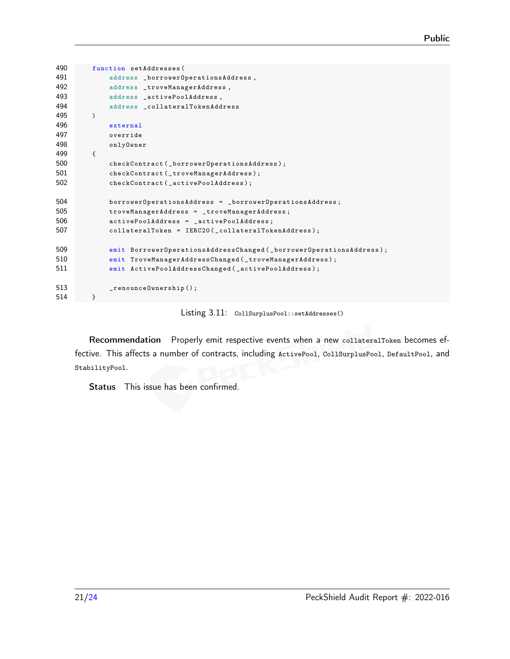```
490 function setAddresses (
491 address _borrowerOperationsAddress ,
492 address _troveManagerAddress ,
493 address _activePoolAddress ,
494 address _collateralTokenAddress
495 )
496 external
497 override
498 onlyOwner
499 {
500 checkContract ( _borrowerOperationsAddress ) ;
501 checkContract ( _troveManagerAddress );
502 checkContract ( _activePoolAddress ) ;
504 borrowerOperationsAddress = _borrowerOperationsAddress ;
505 troveManagerAddress = _troveManagerAddress ;
506 activePoolAddress = _activePoolAddress ;
507 collateralToken = IERC20(_collateralTokenAddress);
509 emit BorrowerOperationsAddressChanged ( _borrowerOperationsAddress );
510 emit TroveManagerAddressChanged ( _troveManagerAddress );
511 emit ActivePoolAddressChanged ( _activePoolAddress );
513 _renounceOwnership () ;
514 }
```
Listing 3.11: CollSurplusPool::setAddresses()

Recommendation Properly emit respective events when a new collateralToken becomes effective. This affects a number of contracts, including ActivePool, CollSurplusPool, DefaultPool, and StabilityPool.

Status This issue has been confirmed.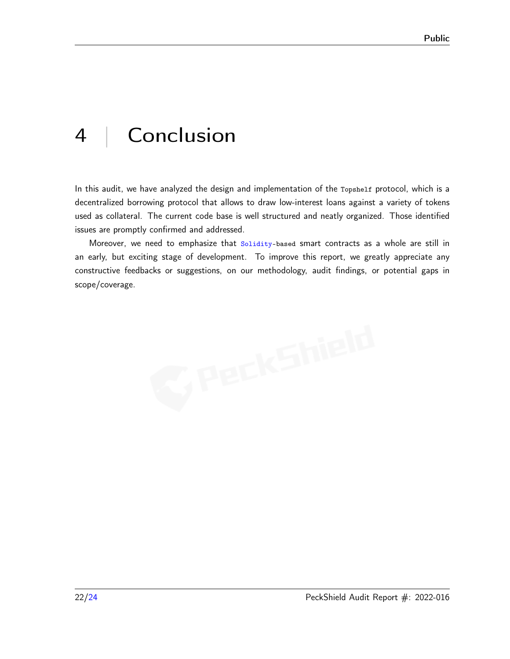# <span id="page-21-0"></span>4 | Conclusion

In this audit, we have analyzed the design and implementation of the Topshelf protocol, which is a decentralized borrowing protocol that allows to draw low-interest loans against a variety of tokens used as collateral. The current code base is well structured and neatly organized. Those identified issues are promptly confirmed and addressed.

Moreover, we need to emphasize that Solidity-based smart contracts as a whole are still in an early, but exciting stage of development. To improve this report, we greatly appreciate any constructive feedbacks or suggestions, on our methodology, audit findings, or potential gaps in scope/coverage.

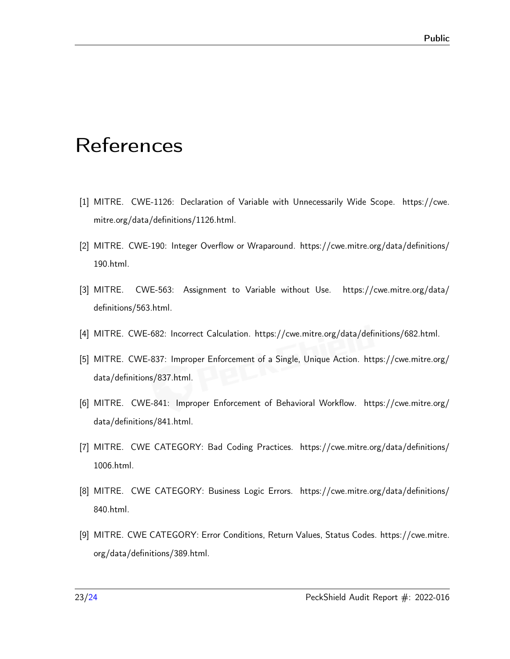# <span id="page-22-0"></span>**References**

- <span id="page-22-9"></span>[1] MITRE. CWE-1126: Declaration of Variable with Unnecessarily Wide Scope. [https://cwe.](https://cwe.mitre.org/data/definitions/1126.html) [mitre.org/data/definitions/1126.html.](https://cwe.mitre.org/data/definitions/1126.html)
- <span id="page-22-8"></span>[2] MITRE. CWE-190: Integer Overflow or Wraparound. [https://cwe.mitre.org/data/definitions/](https://cwe.mitre.org/data/definitions/190.html) [190.html.](https://cwe.mitre.org/data/definitions/190.html)
- <span id="page-22-2"></span>[3] MITRE. CWE-563: Assignment to Variable without Use. [https://cwe.mitre.org/data/](https://cwe.mitre.org/data/definitions/563.html) [definitions/563.html.](https://cwe.mitre.org/data/definitions/563.html)
- <span id="page-22-4"></span>[4] MITRE. CWE-682: Incorrect Calculation. [https://cwe.mitre.org/data/definitions/682.html.](https://cwe.mitre.org/data/definitions/682.html)
- <span id="page-22-6"></span>[5] MITRE. CWE-837: Improper Enforcement of a Single, Unique Action. [https://cwe.mitre.org/](https://cwe.mitre.org/data/definitions/837.html) [data/definitions/837.html.](https://cwe.mitre.org/data/definitions/837.html)
- <span id="page-22-7"></span>[6] MITRE. CWE-841: Improper Enforcement of Behavioral Workflow. [https://cwe.mitre.org/](https://cwe.mitre.org/data/definitions/841.html) [data/definitions/841.html.](https://cwe.mitre.org/data/definitions/841.html)
- <span id="page-22-1"></span>[7] MITRE. CWE CATEGORY: Bad Coding Practices. [https://cwe.mitre.org/data/definitions/](https://cwe.mitre.org/data/definitions/1006.html) [1006.html.](https://cwe.mitre.org/data/definitions/1006.html)
- <span id="page-22-5"></span>[8] MITRE. CWE CATEGORY: Business Logic Errors. [https://cwe.mitre.org/data/definitions/](https://cwe.mitre.org/data/definitions/840.html) [840.html.](https://cwe.mitre.org/data/definitions/840.html)
- <span id="page-22-3"></span>[9] MITRE. CWE CATEGORY: Error Conditions, Return Values, Status Codes. [https://cwe.mitre.](https://cwe.mitre.org/data/definitions/389.html) [org/data/definitions/389.html.](https://cwe.mitre.org/data/definitions/389.html)